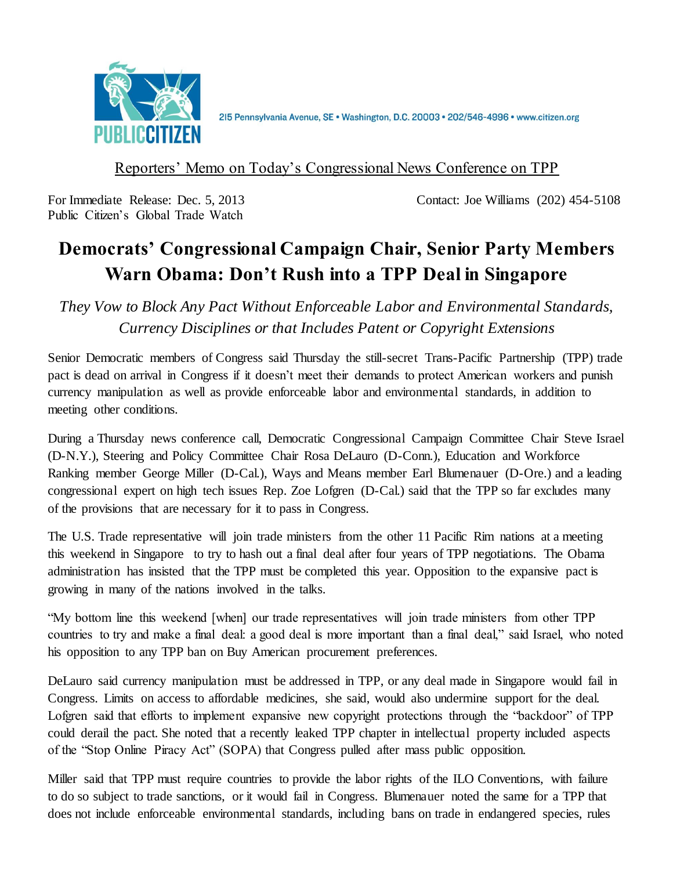

215 Pennsylvania Avenue, SE · Washington, D.C. 20003 · 202/546-4996 · www.citizen.org

### Reporters' Memo on Today's Congressional News Conference on TPP

Public Citizen's Global Trade Watch

For Immediate Release: Dec. 5, 2013 Contact: Joe Williams (202) 454-5108

# **Democrats' Congressional Campaign Chair, Senior Party Members Warn Obama: Don't Rush into a TPP Deal in Singapore**

*They Vow to Block Any Pact Without Enforceable Labor and Environmental Standards, Currency Disciplines or that Includes Patent or Copyright Extensions*

Senior Democratic members of Congress said Thursday the still-secret Trans-Pacific Partnership (TPP) trade pact is dead on arrival in Congress if it doesn't meet their demands to protect American workers and punish currency manipulation as well as provide enforceable labor and environmental standards, in addition to meeting other conditions.

During a Thursday news conference call, Democratic Congressional Campaign Committee Chair Steve Israel (D-N.Y.), Steering and Policy Committee Chair Rosa DeLauro (D-Conn.), Education and Workforce Ranking member George Miller (D-Cal.), Ways and Means member Earl Blumenauer (D-Ore.) and a leading congressional expert on high tech issues Rep. Zoe Lofgren (D-Cal.) said that the TPP so far excludes many of the provisions that are necessary for it to pass in Congress.

The U.S. Trade representative will join trade ministers from the other 11 Pacific Rim nations at a meeting this weekend in Singapore to try to hash out a final deal after four years of TPP negotiations. The Obama administration has insisted that the TPP must be completed this year. Opposition to the expansive pact is growing in many of the nations involved in the talks.

"My bottom line this weekend [when] our trade representatives will join trade ministers from other TPP countries to try and make a final deal: a good deal is more important than a final deal," said Israel, who noted his opposition to any TPP ban on Buy American procurement preferences.

DeLauro said currency manipulation must be addressed in TPP, or any deal made in Singapore would fail in Congress. Limits on access to affordable medicines, she said, would also undermine support for the deal. Lofgren said that efforts to implement expansive new copyright protections through the "backdoor" of TPP could derail the pact. She noted that a recently leaked TPP chapter in intellectual property included aspects of the "Stop Online Piracy Act" (SOPA) that Congress pulled after mass public opposition.

Miller said that TPP must require countries to provide the labor rights of the ILO Conventions, with failure to do so subject to trade sanctions, or it would fail in Congress. Blumenauer noted the same for a TPP that does not include enforceable environmental standards, including bans on trade in endangered species, rules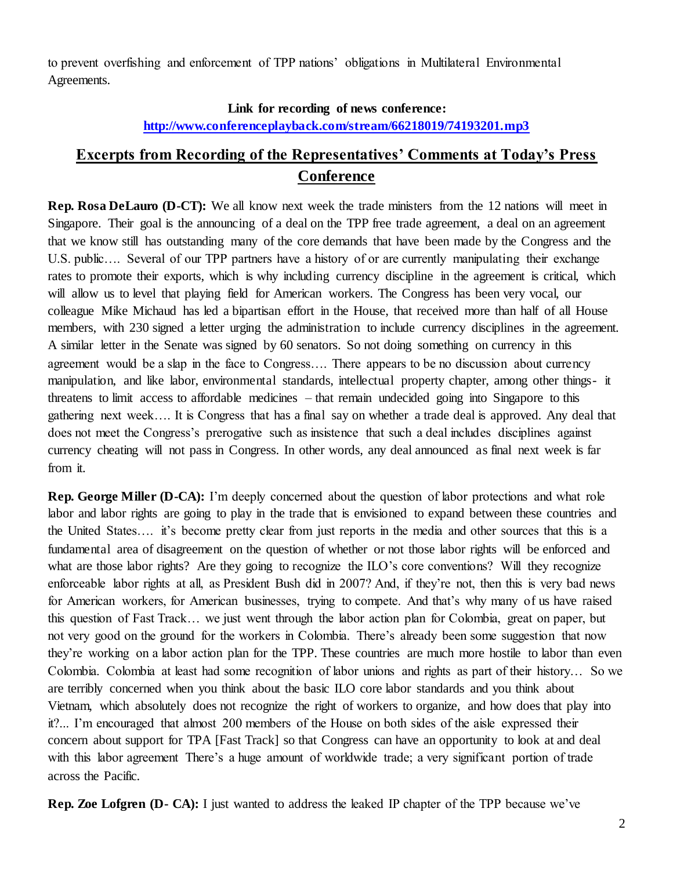to prevent overfishing and enforcement of TPP nations' obligations in Multilateral Environmental Agreements.

#### **Link for recording of news conference:**

#### **<http://www.conferenceplayback.com/stream/66218019/74193201.mp3>**

## **Excerpts from Recording of the Representatives' Comments at Today's Press Conference**

**Rep. Rosa DeLauro (D-CT):** We all know next week the trade ministers from the 12 nations will meet in Singapore. Their goal is the announcing of a deal on the TPP free trade agreement, a deal on an agreement that we know still has outstanding many of the core demands that have been made by the Congress and the U.S. public…. Several of our TPP partners have a history of or are currently manipulating their exchange rates to promote their exports, which is why including currency discipline in the agreement is critical, which will allow us to level that playing field for American workers. The Congress has been very vocal, our colleague Mike Michaud has led a bipartisan effort in the House, that received more than half of all House members, with 230 signed a letter urging the administration to include currency disciplines in the agreement. A similar letter in the Senate was signed by 60 senators. So not doing something on currency in this agreement would be a slap in the face to Congress…. There appears to be no discussion about currency manipulation, and like labor, environmental standards, intellectual property chapter, among other things- it threatens to limit access to affordable medicines – that remain undecided going into Singapore to this gathering next week…. It is Congress that has a final say on whether a trade deal is approved. Any deal that does not meet the Congress's prerogative such as insistence that such a deal includes disciplines against currency cheating will not pass in Congress. In other words, any deal announced as final next week is far from it.

**Rep. George Miller (D-CA):** I'm deeply concerned about the question of labor protections and what role labor and labor rights are going to play in the trade that is envisioned to expand between these countries and the United States…. it's become pretty clear from just reports in the media and other sources that this is a fundamental area of disagreement on the question of whether or not those labor rights will be enforced and what are those labor rights? Are they going to recognize the ILO's core conventions? Will they recognize enforceable labor rights at all, as President Bush did in 2007? And, if they're not, then this is very bad news for American workers, for American businesses, trying to compete. And that's why many of us have raised this question of Fast Track… we just went through the labor action plan for Colombia, great on paper, but not very good on the ground for the workers in Colombia. There's already been some suggestion that now they're working on a labor action plan for the TPP. These countries are much more hostile to labor than even Colombia. Colombia at least had some recognition of labor unions and rights as part of their history… So we are terribly concerned when you think about the basic ILO core labor standards and you think about Vietnam, which absolutely does not recognize the right of workers to organize, and how does that play into it?... I'm encouraged that almost 200 members of the House on both sides of the aisle expressed their concern about support for TPA [Fast Track] so that Congress can have an opportunity to look at and deal with this labor agreement There's a huge amount of worldwide trade; a very significant portion of trade across the Pacific.

**Rep. Zoe Lofgren (D- CA):** I just wanted to address the leaked IP chapter of the TPP because we've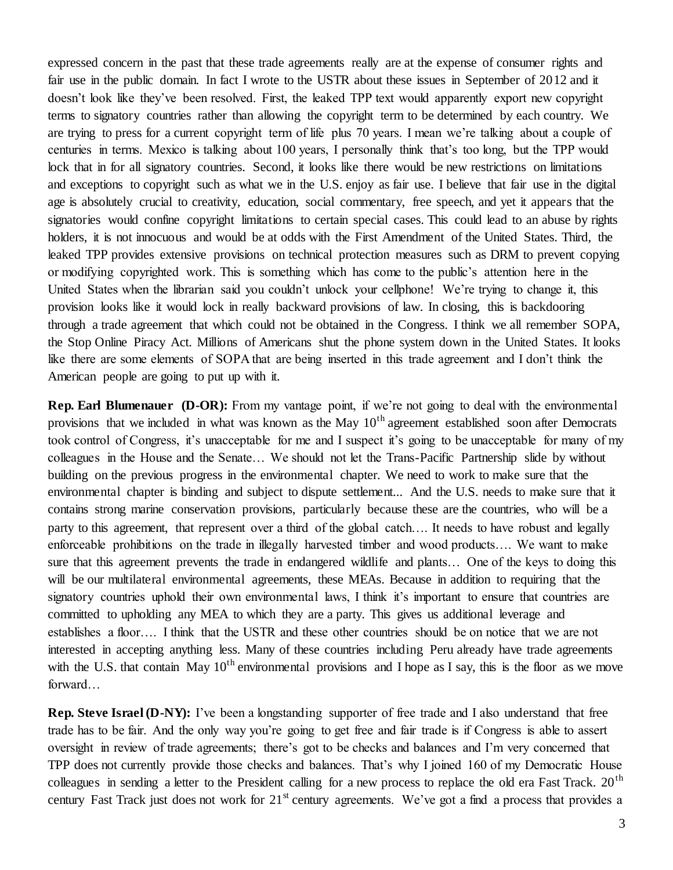expressed concern in the past that these trade agreements really are at the expense of consumer rights and fair use in the public domain. In fact I wrote to the USTR about these issues in September of 2012 and it doesn't look like they've been resolved. First, the leaked TPP text would apparently export new copyright terms to signatory countries rather than allowing the copyright term to be determined by each country. We are trying to press for a current copyright term of life plus 70 years. I mean we're talking about a couple of centuries in terms. Mexico is talking about 100 years, I personally think that's too long, but the TPP would lock that in for all signatory countries. Second, it looks like there would be new restrictions on limitations and exceptions to copyright such as what we in the U.S. enjoy as fair use. I believe that fair use in the digital age is absolutely crucial to creativity, education, social commentary, free speech, and yet it appears that the signatories would confine copyright limitations to certain special cases. This could lead to an abuse by rights holders, it is not innocuous and would be at odds with the First Amendment of the United States. Third, the leaked TPP provides extensive provisions on technical protection measures such as DRM to prevent copying or modifying copyrighted work. This is something which has come to the public's attention here in the United States when the librarian said you couldn't unlock your cellphone! We're trying to change it, this provision looks like it would lock in really backward provisions of law. In closing, this is backdooring through a trade agreement that which could not be obtained in the Congress. I think we all remember SOPA, the Stop Online Piracy Act. Millions of Americans shut the phone system down in the United States. It looks like there are some elements of SOPA that are being inserted in this trade agreement and I don't think the American people are going to put up with it.

**Rep. Earl Blumenauer (D-OR):** From my vantage point, if we're not going to deal with the environmental provisions that we included in what was known as the May  $10<sup>th</sup>$  agreement established soon after Democrats took control of Congress, it's unacceptable for me and I suspect it's going to be unacceptable for many of my colleagues in the House and the Senate… We should not let the Trans-Pacific Partnership slide by without building on the previous progress in the environmental chapter. We need to work to make sure that the environmental chapter is binding and subject to dispute settlement... And the U.S. needs to make sure that it contains strong marine conservation provisions, particularly because these are the countries, who will be a party to this agreement, that represent over a third of the global catch…. It needs to have robust and legally enforceable prohibitions on the trade in illegally harvested timber and wood products…. We want to make sure that this agreement prevents the trade in endangered wildlife and plants... One of the keys to doing this will be our multilateral environmental agreements, these MEAs. Because in addition to requiring that the signatory countries uphold their own environmental laws, I think it's important to ensure that countries are committed to upholding any MEA to which they are a party. This gives us additional leverage and establishes a floor…. I think that the USTR and these other countries should be on notice that we are not interested in accepting anything less. Many of these countries including Peru already have trade agreements with the U.S. that contain May  $10<sup>th</sup>$  environmental provisions and I hope as I say, this is the floor as we move forward…

**Rep. Steve Israel (D-NY):** I've been a longstanding supporter of free trade and I also understand that free trade has to be fair. And the only way you're going to get free and fair trade is if Congress is able to assert oversight in review of trade agreements; there's got to be checks and balances and I'm very concerned that TPP does not currently provide those checks and balances. That's why I joined 160 of my Democratic House colleagues in sending a letter to the President calling for a new process to replace the old era Fast Track.  $20<sup>th</sup>$ century Fast Track just does not work for 21<sup>st</sup> century agreements. We've got a find a process that provides a